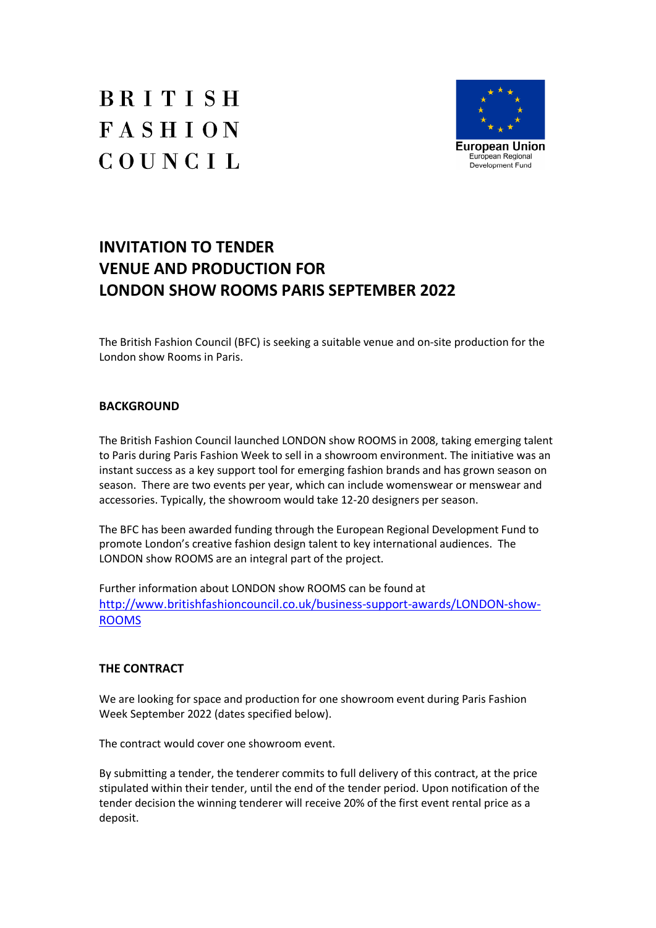# BRITISH **FASHION** COUNCIL



# **INVITATION TO TENDER VENUE AND PRODUCTION FOR LONDON SHOW ROOMS PARIS SEPTEMBER 2022**

The British Fashion Council (BFC) is seeking a suitable venue and on-site production for the London show Rooms in Paris.

# **BACKGROUND**

The British Fashion Council launched LONDON show ROOMS in 2008, taking emerging talent to Paris during Paris Fashion Week to sell in a showroom environment. The initiative was an instant success as a key support tool for emerging fashion brands and has grown season on season. There are two events per year, which can include womenswear or menswear and accessories. Typically, the showroom would take 12-20 designers per season.

The BFC has been awarded funding through the European Regional Development Fund to promote London's creative fashion design talent to key international audiences. The LONDON show ROOMS are an integral part of the project.

Further information about LONDON show ROOMS can be found at http://www.britishfashioncouncil.co.uk/business-support-awards/LONDON-show-ROOMS

# **THE CONTRACT**

We are looking for space and production for one showroom event during Paris Fashion Week September 2022 (dates specified below).

The contract would cover one showroom event.

By submitting a tender, the tenderer commits to full delivery of this contract, at the price stipulated within their tender, until the end of the tender period. Upon notification of the tender decision the winning tenderer will receive 20% of the first event rental price as a deposit.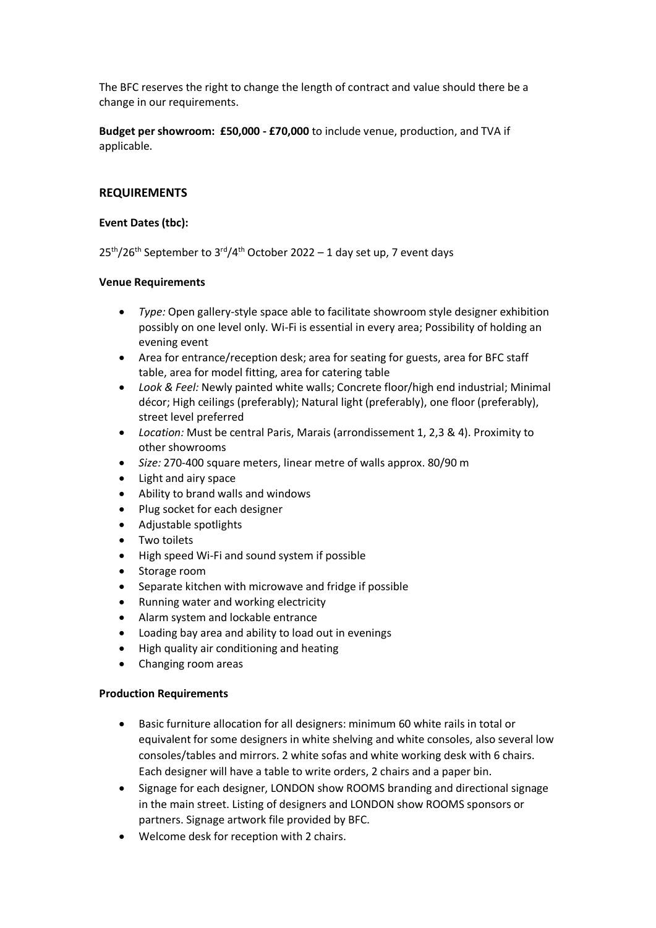The BFC reserves the right to change the length of contract and value should there be a change in our requirements.

**Budget per showroom: £50,000 - £70,000** to include venue, production, and TVA if applicable.

## **REQUIREMENTS**

#### **Event Dates (tbc):**

25<sup>th</sup>/26<sup>th</sup> September to 3<sup>rd</sup>/4<sup>th</sup> October 2022 – 1 day set up, 7 event days

#### **Venue Requirements**

- · *Type:* Open gallery-style space able to facilitate showroom style designer exhibition possibly on one level only. Wi-Fi is essential in every area; Possibility of holding an evening event
- · Area for entrance/reception desk; area for seating for guests, area for BFC staff table, area for model fitting, area for catering table
- Look & Feel: Newly painted white walls; Concrete floor/high end industrial; Minimal décor; High ceilings (preferably); Natural light (preferably), one floor (preferably), street level preferred
- · *Location:* Must be central Paris, Marais (arrondissement 1, 2,3 & 4). Proximity to other showrooms
- · *Size:* 270-400 square meters, linear metre of walls approx. 80/90 m
- · Light and airy space
- Ability to brand walls and windows
- · Plug socket for each designer
- · Adjustable spotlights
- · Two toilets
- High speed Wi-Fi and sound system if possible
- · Storage room
- Separate kitchen with microwave and fridge if possible
- · Running water and working electricity
- Alarm system and lockable entrance
- Loading bay area and ability to load out in evenings
- · High quality air conditioning and heating
- · Changing room areas

#### **Production Requirements**

- · Basic furniture allocation for all designers: minimum 60 white rails in total or equivalent for some designers in white shelving and white consoles, also several low consoles/tables and mirrors. 2 white sofas and white working desk with 6 chairs. Each designer will have a table to write orders, 2 chairs and a paper bin.
- · Signage for each designer, LONDON show ROOMS branding and directional signage in the main street. Listing of designers and LONDON show ROOMS sponsors or partners. Signage artwork file provided by BFC.
- · Welcome desk for reception with 2 chairs.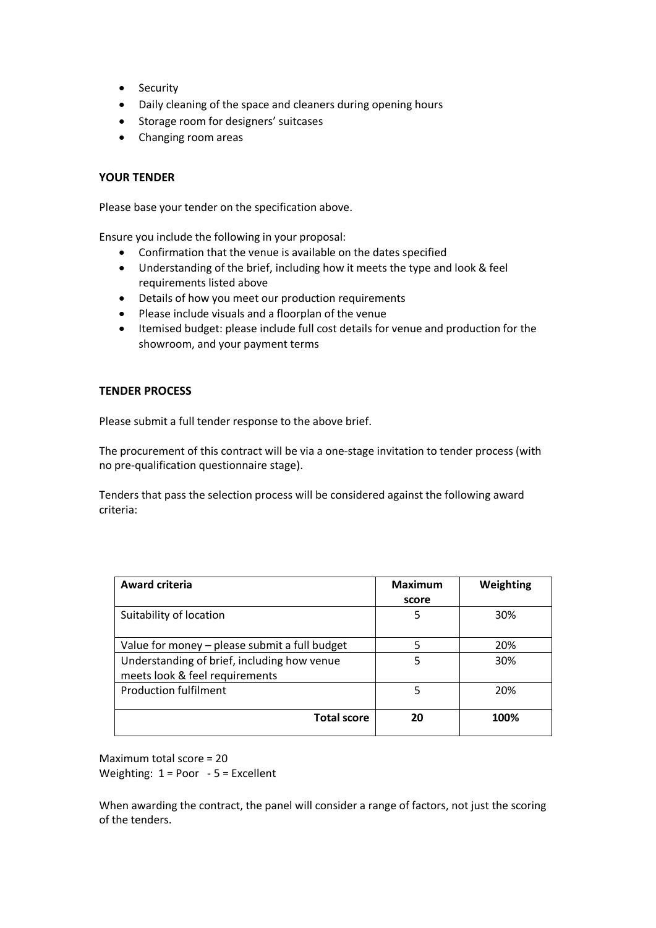- · Security
- · Daily cleaning of the space and cleaners during opening hours
- · Storage room for designers' suitcases
- · Changing room areas

#### **YOUR TENDER**

Please base your tender on the specification above.

Ensure you include the following in your proposal:

- · Confirmation that the venue is available on the dates specified
- · Understanding of the brief, including how it meets the type and look & feel requirements listed above
- · Details of how you meet our production requirements
- · Please include visuals and a floorplan of the venue
- · Itemised budget: please include full cost details for venue and production for the showroom, and your payment terms

#### **TENDER PROCESS**

Please submit a full tender response to the above brief.

The procurement of this contract will be via a one-stage invitation to tender process (with no pre-qualification questionnaire stage).

Tenders that pass the selection process will be considered against the following award criteria:

| <b>Award criteria</b>                                                         | <b>Maximum</b> | Weighting |
|-------------------------------------------------------------------------------|----------------|-----------|
|                                                                               | score          |           |
| Suitability of location                                                       | 5              | 30%       |
| Value for money - please submit a full budget                                 | 5              | 20%       |
| Understanding of brief, including how venue<br>meets look & feel requirements | 5              | 30%       |
| <b>Production fulfilment</b>                                                  | 5              | 20%       |
| <b>Total score</b>                                                            | 20             | 100%      |

Maximum total score = 20 Weighting: 1 = Poor - 5 = Excellent

When awarding the contract, the panel will consider a range of factors, not just the scoring of the tenders.